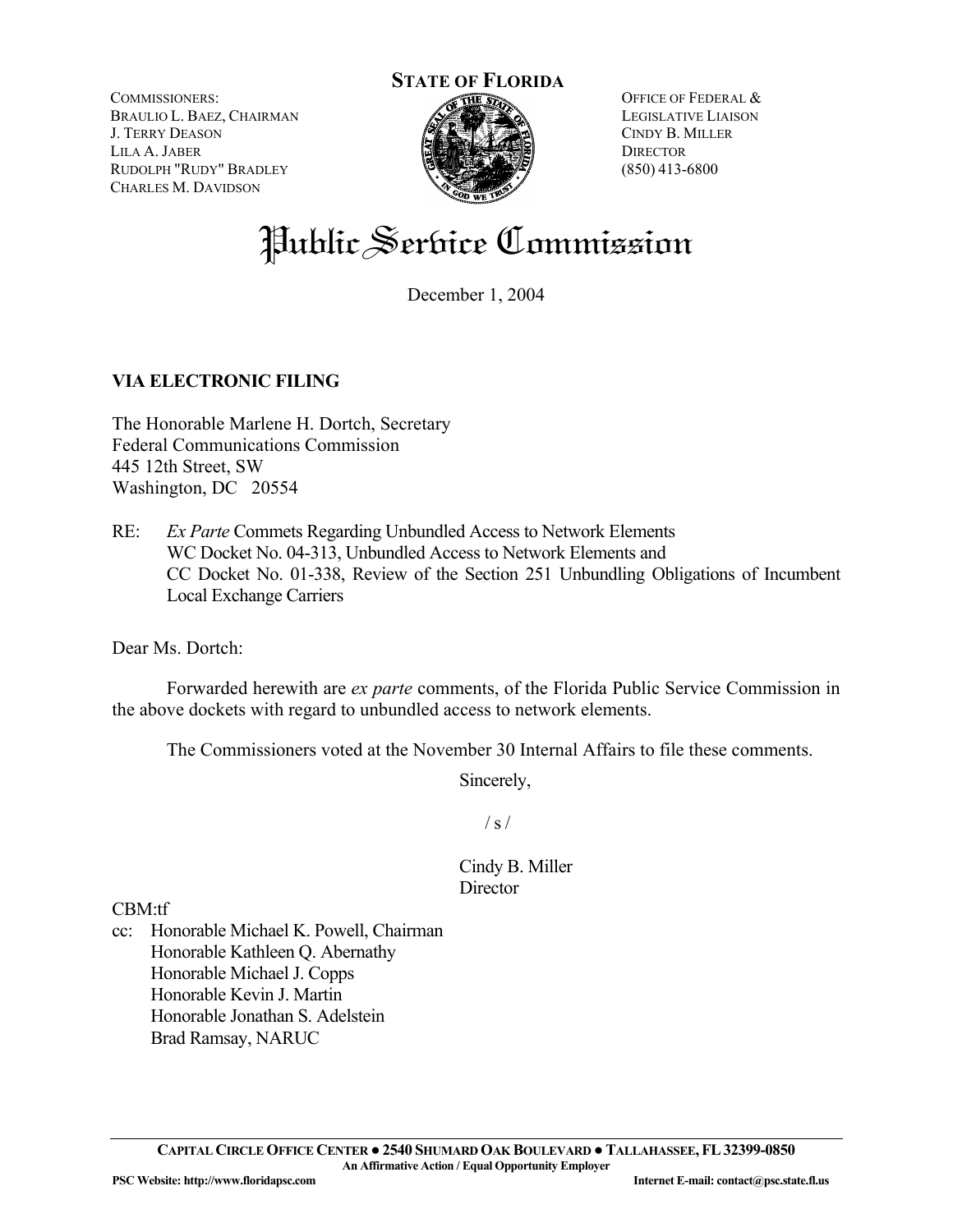COMMISSIONERS: BRAULIO L. BAEZ, CHAIRMAN J. TERRY DEASON LILA A. JABER RUDOLPH "RUDY" BRADLEY CHARLES M. DAVIDSON



OFFICE OF FEDERAL & LEGISLATIVE LIAISON CINDY B. MILLER **DIRECTOR** (850) 413-6800

# Public Service Commission

December 1, 2004

### **VIA ELECTRONIC FILING**

The Honorable Marlene H. Dortch, Secretary Federal Communications Commission 445 12th Street, SW Washington, DC 20554

RE: *Ex Parte* Commets Regarding Unbundled Access to Network Elements WC Docket No. 04-313, Unbundled Access to Network Elements and CC Docket No. 01-338, Review of the Section 251 Unbundling Obligations of Incumbent Local Exchange Carriers

Dear Ms. Dortch:

 Forwarded herewith are *ex parte* comments, of the Florida Public Service Commission in the above dockets with regard to unbundled access to network elements.

The Commissioners voted at the November 30 Internal Affairs to file these comments.

Sincerely,

 $/ s /$ 

Cindy B. Miller **Director** 

CBM:tf

cc: Honorable Michael K. Powell, Chairman Honorable Kathleen Q. Abernathy Honorable Michael J. Copps Honorable Kevin J. Martin Honorable Jonathan S. Adelstein Brad Ramsay, NARUC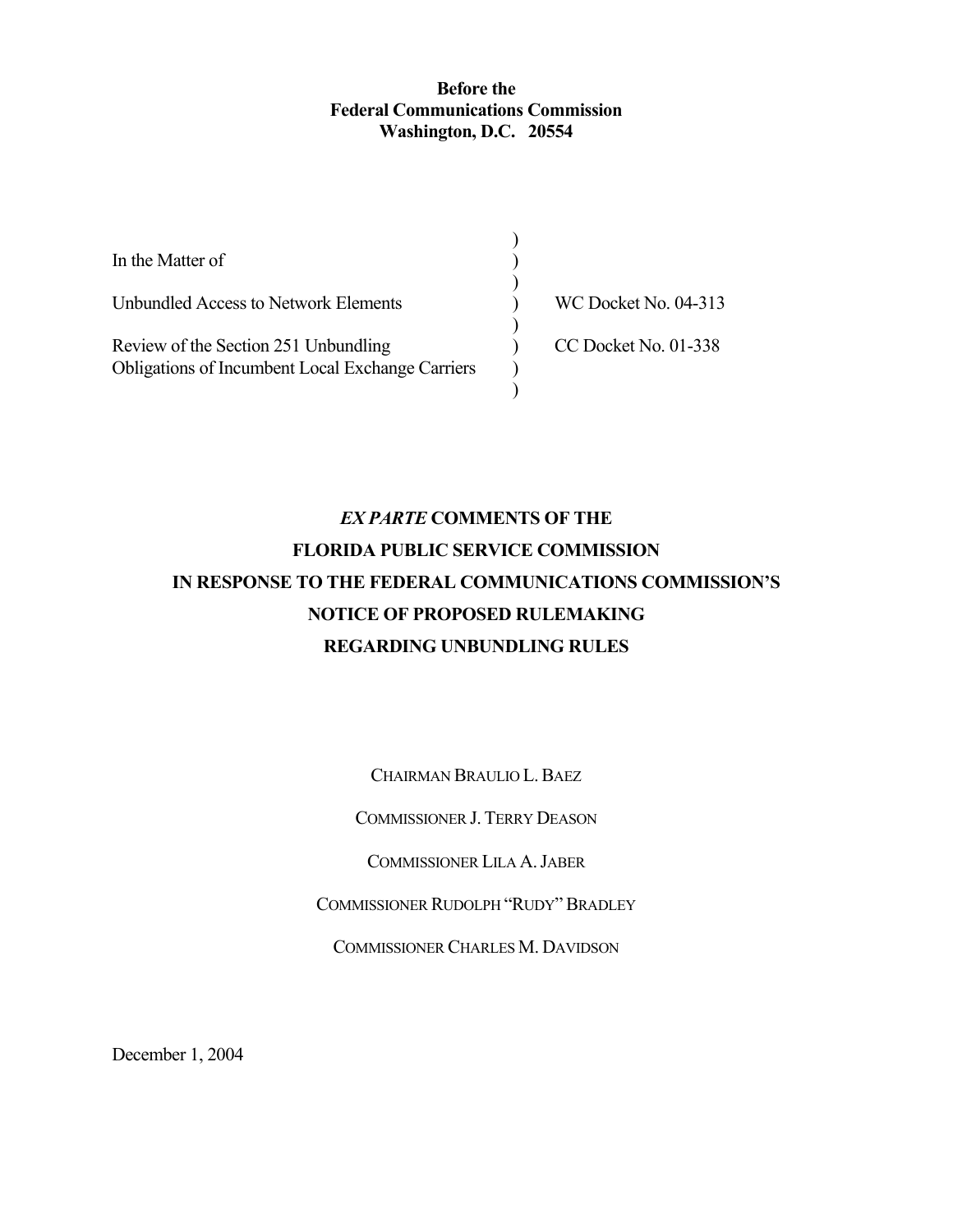#### **Before the Federal Communications Commission Washington, D.C. 20554**

| In the Matter of                                        |                             |
|---------------------------------------------------------|-----------------------------|
| Unbundled Access to Network Elements                    | <b>WC Docket No. 04-313</b> |
| Review of the Section 251 Unbundling                    | CC Docket No. 01-338        |
| <b>Obligations of Incumbent Local Exchange Carriers</b> |                             |

# *EX PARTE* **COMMENTS OF THE FLORIDA PUBLIC SERVICE COMMISSION IN RESPONSE TO THE FEDERAL COMMUNICATIONS COMMISSION'S NOTICE OF PROPOSED RULEMAKING REGARDING UNBUNDLING RULES**

CHAIRMAN BRAULIO L.BAEZ

COMMISSIONER J. TERRY DEASON

COMMISSIONER LILA A.JABER

COMMISSIONER RUDOLPH "RUDY"BRADLEY

COMMISSIONER CHARLES M. DAVIDSON

December 1, 2004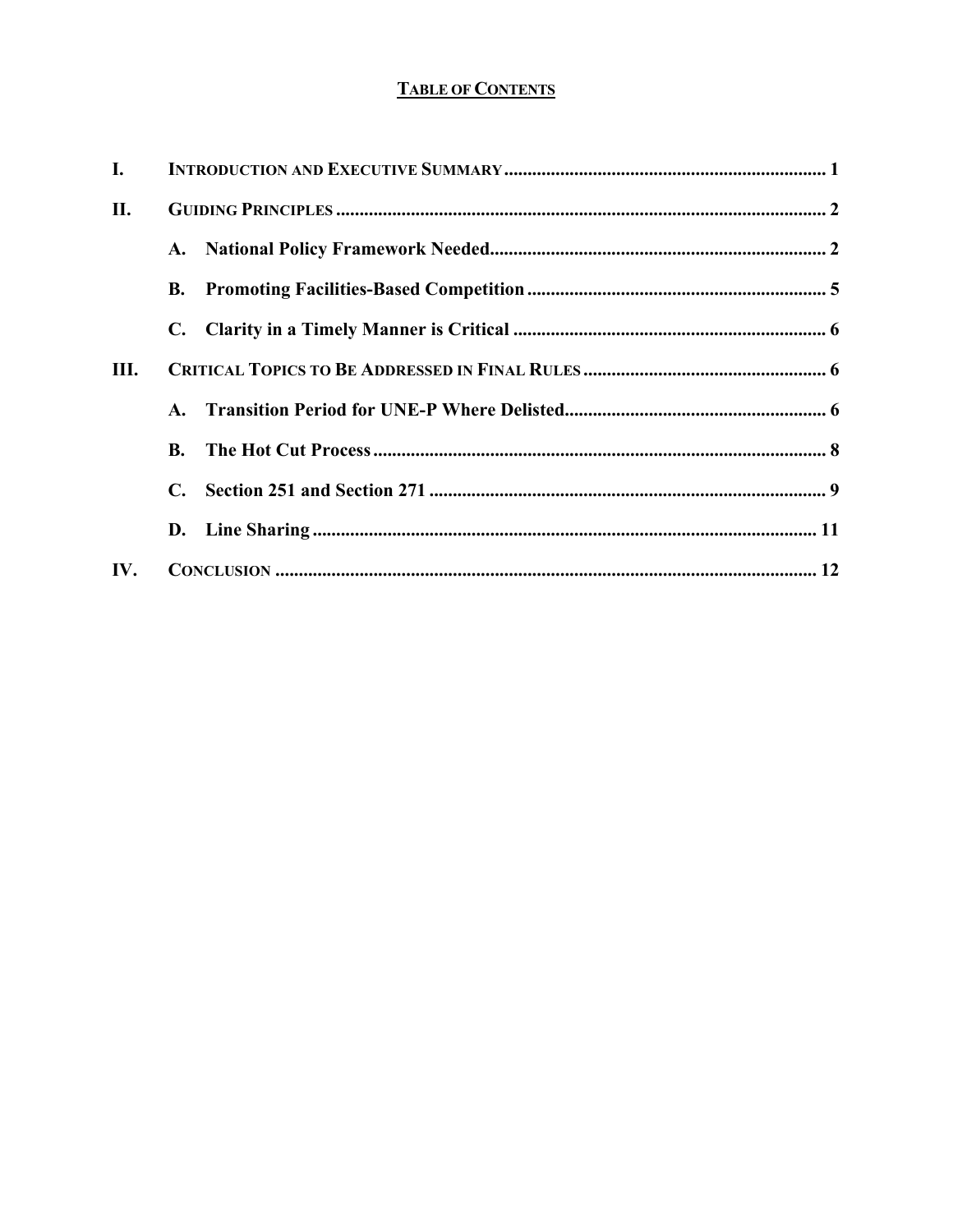## **TABLE OF CONTENTS**

| I.  |           |  |
|-----|-----------|--|
| П.  |           |  |
|     |           |  |
|     | <b>B.</b> |  |
|     |           |  |
| Ш.  |           |  |
|     |           |  |
|     | <b>B.</b> |  |
|     |           |  |
|     |           |  |
| IV. |           |  |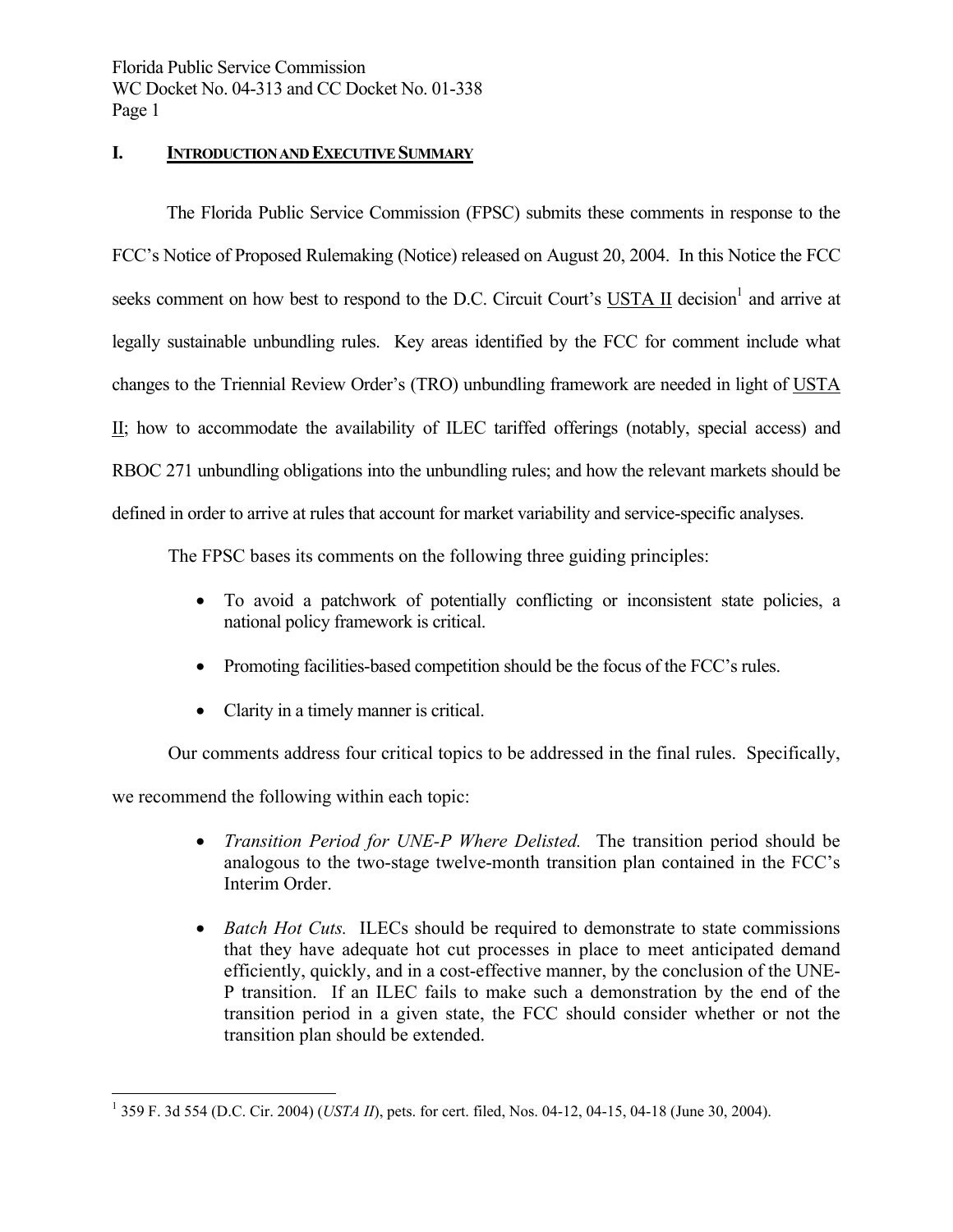#### **I. INTRODUCTION AND EXECUTIVE SUMMARY**

 The Florida Public Service Commission (FPSC) submits these comments in response to the FCC's Notice of Proposed Rulemaking (Notice) released on August 20, 2004. In this Notice the FCC seeks comment on how best to respond to the D.C. Circuit Court's  $USTA II$  decision<sup>1</sup> and arrive at</u> legally sustainable unbundling rules. Key areas identified by the FCC for comment include what changes to the Triennial Review Order's (TRO) unbundling framework are needed in light of USTA II; how to accommodate the availability of ILEC tariffed offerings (notably, special access) and RBOC 271 unbundling obligations into the unbundling rules; and how the relevant markets should be defined in order to arrive at rules that account for market variability and service-specific analyses.

The FPSC bases its comments on the following three guiding principles:

- To avoid a patchwork of potentially conflicting or inconsistent state policies, a national policy framework is critical.
- Promoting facilities-based competition should be the focus of the FCC's rules.
- Clarity in a timely manner is critical.

Our comments address four critical topics to be addressed in the final rules. Specifically,

we recommend the following within each topic:

- *Transition Period for UNE-P Where Delisted.* The transition period should be analogous to the two-stage twelve-month transition plan contained in the FCC's Interim Order.
- *Batch Hot Cuts.* ILECs should be required to demonstrate to state commissions that they have adequate hot cut processes in place to meet anticipated demand efficiently, quickly, and in a cost-effective manner, by the conclusion of the UNE-P transition. If an ILEC fails to make such a demonstration by the end of the transition period in a given state, the FCC should consider whether or not the transition plan should be extended.

 $\overline{a}$ <sup>1</sup> 359 F. 3d 554 (D.C. Cir. 2004) (*USTA II*), pets. for cert. filed, Nos. 04-12, 04-15, 04-18 (June 30, 2004).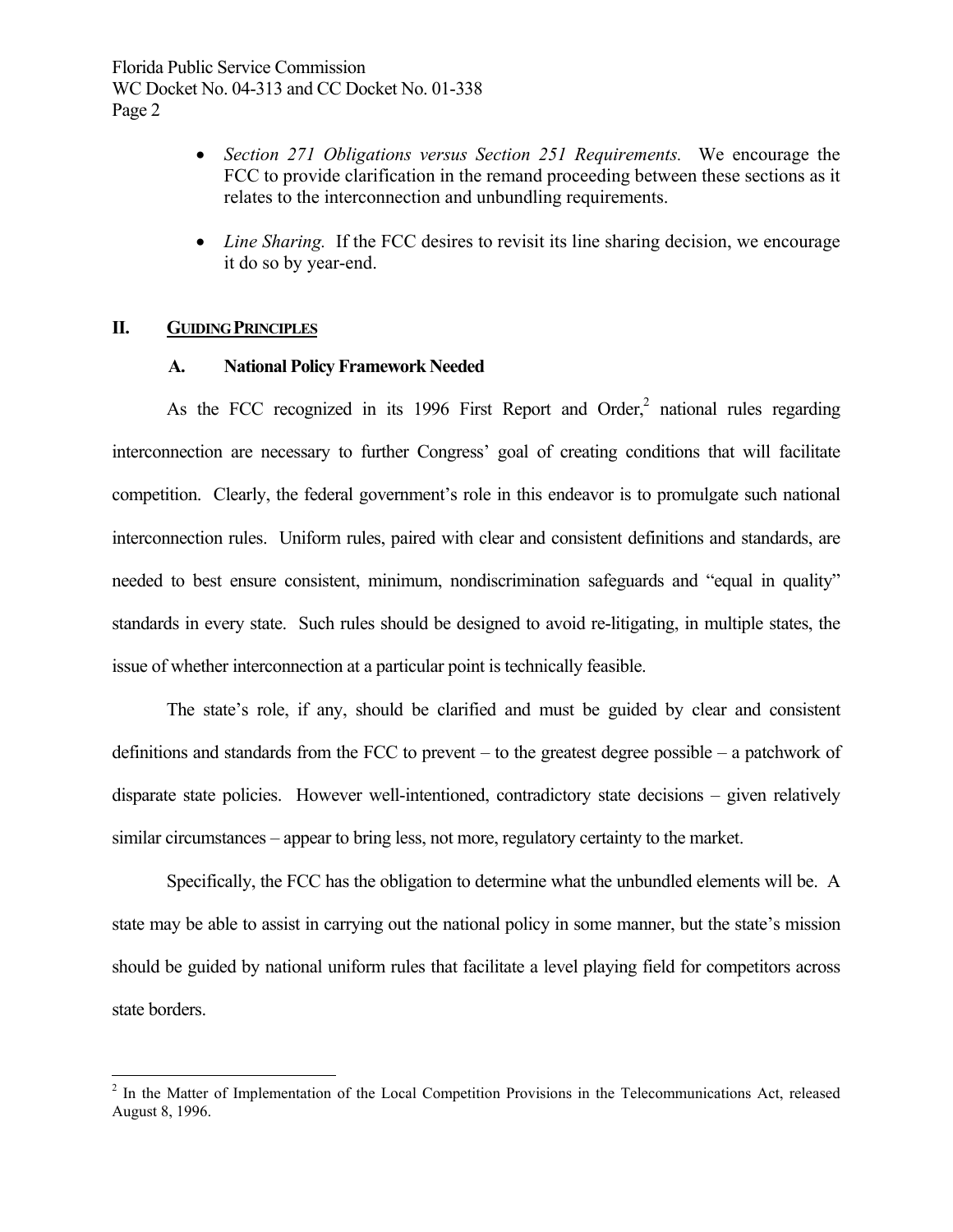- *Section 271 Obligations versus Section 251 Requirements.* We encourage the FCC to provide clarification in the remand proceeding between these sections as it relates to the interconnection and unbundling requirements.
- *Line Sharing.* If the FCC desires to revisit its line sharing decision, we encourage it do so by year-end.

#### **II. GUIDING PRINCIPLES**

 $\overline{a}$ 

#### **A. National Policy Framework Needed**

As the FCC recognized in its 1996 First Report and Order,<sup>2</sup> national rules regarding interconnection are necessary to further Congress' goal of creating conditions that will facilitate competition. Clearly, the federal government's role in this endeavor is to promulgate such national interconnection rules. Uniform rules, paired with clear and consistent definitions and standards, are needed to best ensure consistent, minimum, nondiscrimination safeguards and "equal in quality" standards in every state. Such rules should be designed to avoid re-litigating, in multiple states, the issue of whether interconnection at a particular point is technically feasible.

 The state's role, if any, should be clarified and must be guided by clear and consistent definitions and standards from the FCC to prevent – to the greatest degree possible – a patchwork of disparate state policies. However well-intentioned, contradictory state decisions – given relatively similar circumstances – appear to bring less, not more, regulatory certainty to the market.

 Specifically, the FCC has the obligation to determine what the unbundled elements will be. A state may be able to assist in carrying out the national policy in some manner, but the state's mission should be guided by national uniform rules that facilitate a level playing field for competitors across state borders.

<sup>&</sup>lt;sup>2</sup> In the Matter of Implementation of the Local Competition Provisions in the Telecommunications Act, released August 8, 1996.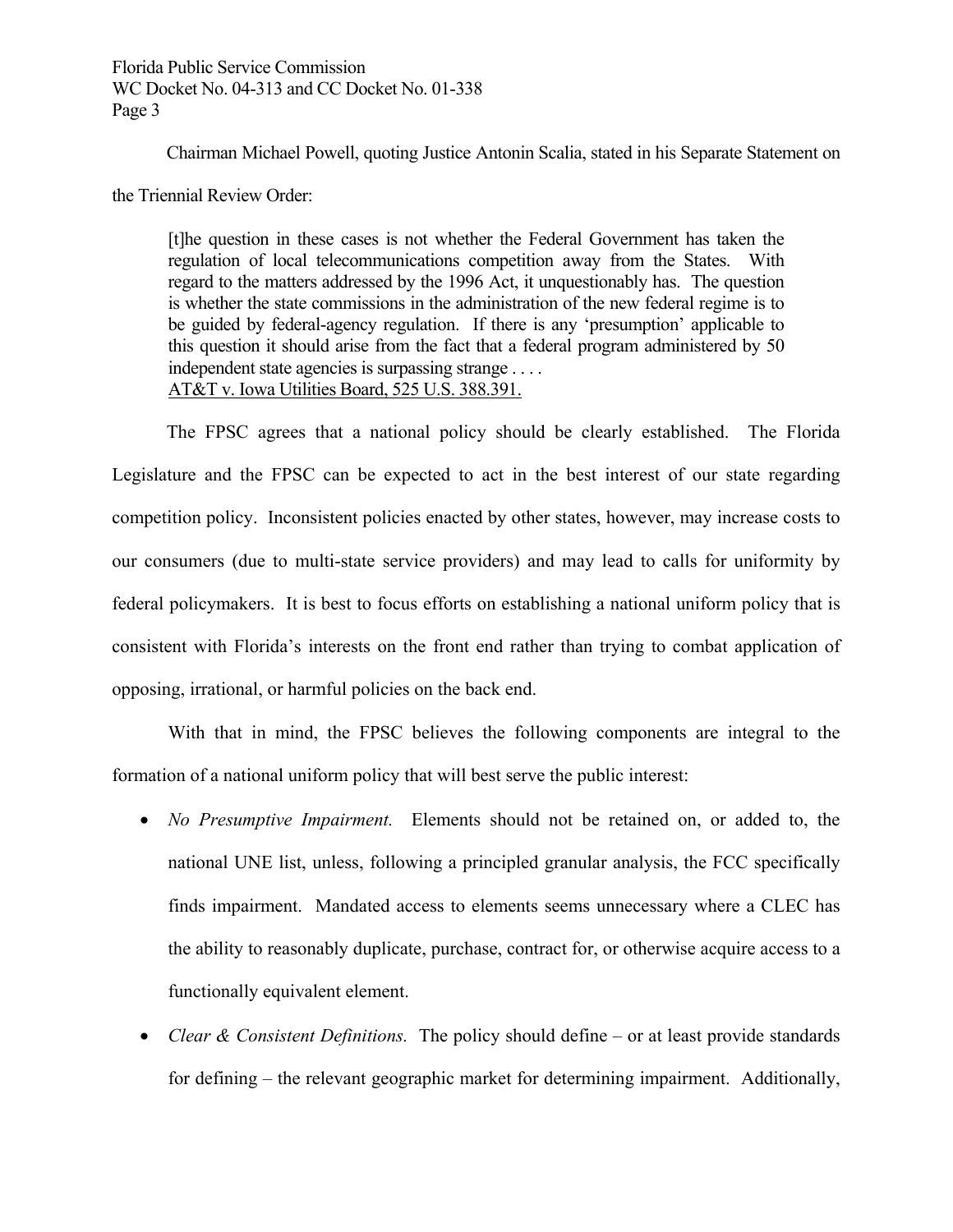Chairman Michael Powell, quoting Justice Antonin Scalia, stated in his Separate Statement on

the Triennial Review Order:

[t]he question in these cases is not whether the Federal Government has taken the regulation of local telecommunications competition away from the States. With regard to the matters addressed by the 1996 Act, it unquestionably has. The question is whether the state commissions in the administration of the new federal regime is to be guided by federal-agency regulation. If there is any 'presumption' applicable to this question it should arise from the fact that a federal program administered by 50 independent state agencies is surpassing strange . . . . AT&T v. Iowa Utilities Board, 525 U.S. 388.391.

 The FPSC agrees that a national policy should be clearly established. The Florida Legislature and the FPSC can be expected to act in the best interest of our state regarding competition policy. Inconsistent policies enacted by other states, however, may increase costs to our consumers (due to multi-state service providers) and may lead to calls for uniformity by federal policymakers. It is best to focus efforts on establishing a national uniform policy that is consistent with Florida's interests on the front end rather than trying to combat application of opposing, irrational, or harmful policies on the back end.

With that in mind, the FPSC believes the following components are integral to the formation of a national uniform policy that will best serve the public interest:

- *No Presumptive Impairment.* Elements should not be retained on, or added to, the national UNE list, unless, following a principled granular analysis, the FCC specifically finds impairment. Mandated access to elements seems unnecessary where a CLEC has the ability to reasonably duplicate, purchase, contract for, or otherwise acquire access to a functionally equivalent element.
- *Clear & Consistent Definitions.* The policy should define or at least provide standards for defining – the relevant geographic market for determining impairment. Additionally,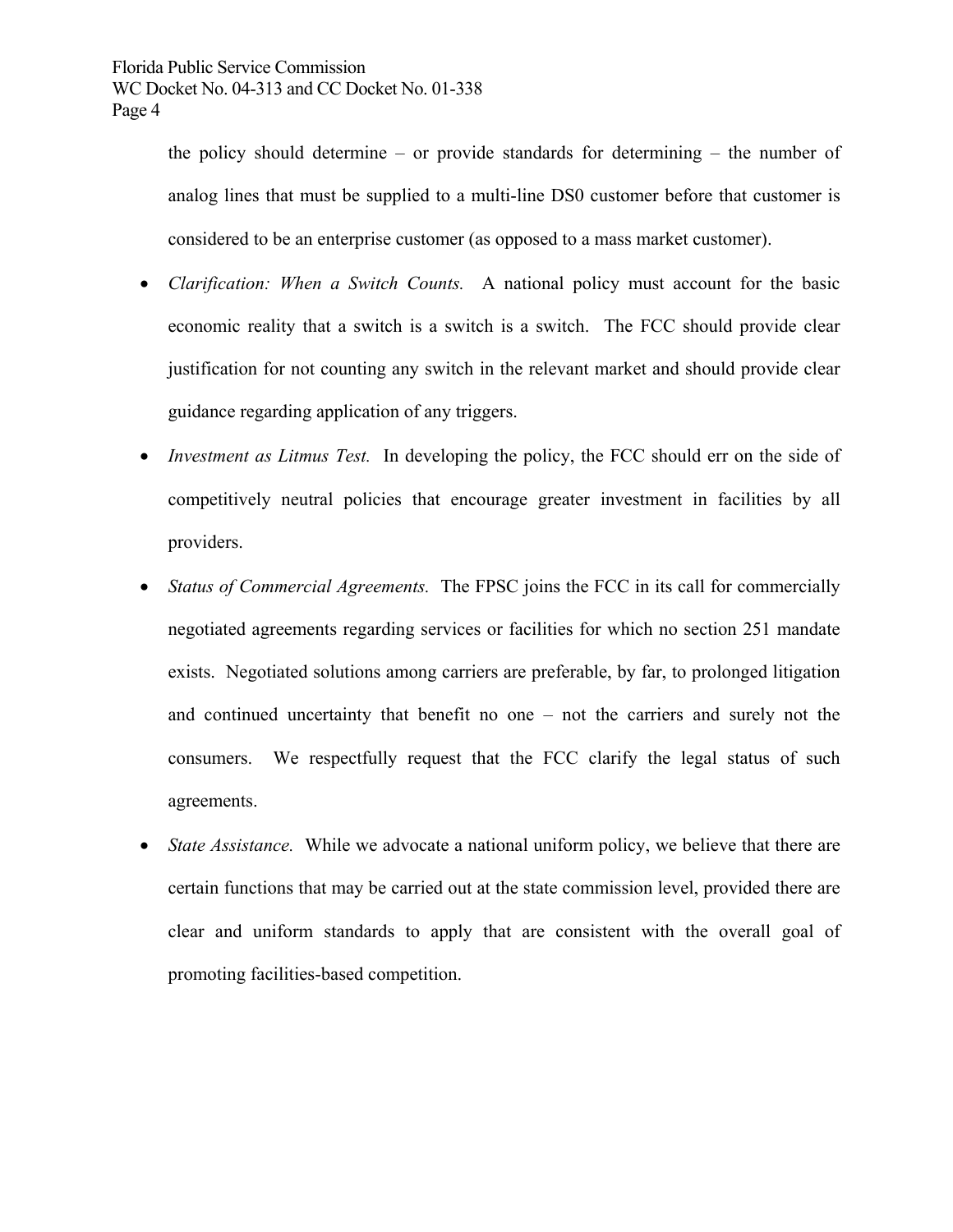the policy should determine – or provide standards for determining – the number of analog lines that must be supplied to a multi-line DS0 customer before that customer is considered to be an enterprise customer (as opposed to a mass market customer).

- *Clarification: When a Switch Counts.* A national policy must account for the basic economic reality that a switch is a switch is a switch. The FCC should provide clear justification for not counting any switch in the relevant market and should provide clear guidance regarding application of any triggers.
- *Investment as Litmus Test.* In developing the policy, the FCC should err on the side of competitively neutral policies that encourage greater investment in facilities by all providers.
- *Status of Commercial Agreements.* The FPSC joins the FCC in its call for commercially negotiated agreements regarding services or facilities for which no section 251 mandate exists. Negotiated solutions among carriers are preferable, by far, to prolonged litigation and continued uncertainty that benefit no one – not the carriers and surely not the consumers. We respectfully request that the FCC clarify the legal status of such agreements.
- *State Assistance.* While we advocate a national uniform policy, we believe that there are certain functions that may be carried out at the state commission level, provided there are clear and uniform standards to apply that are consistent with the overall goal of promoting facilities-based competition.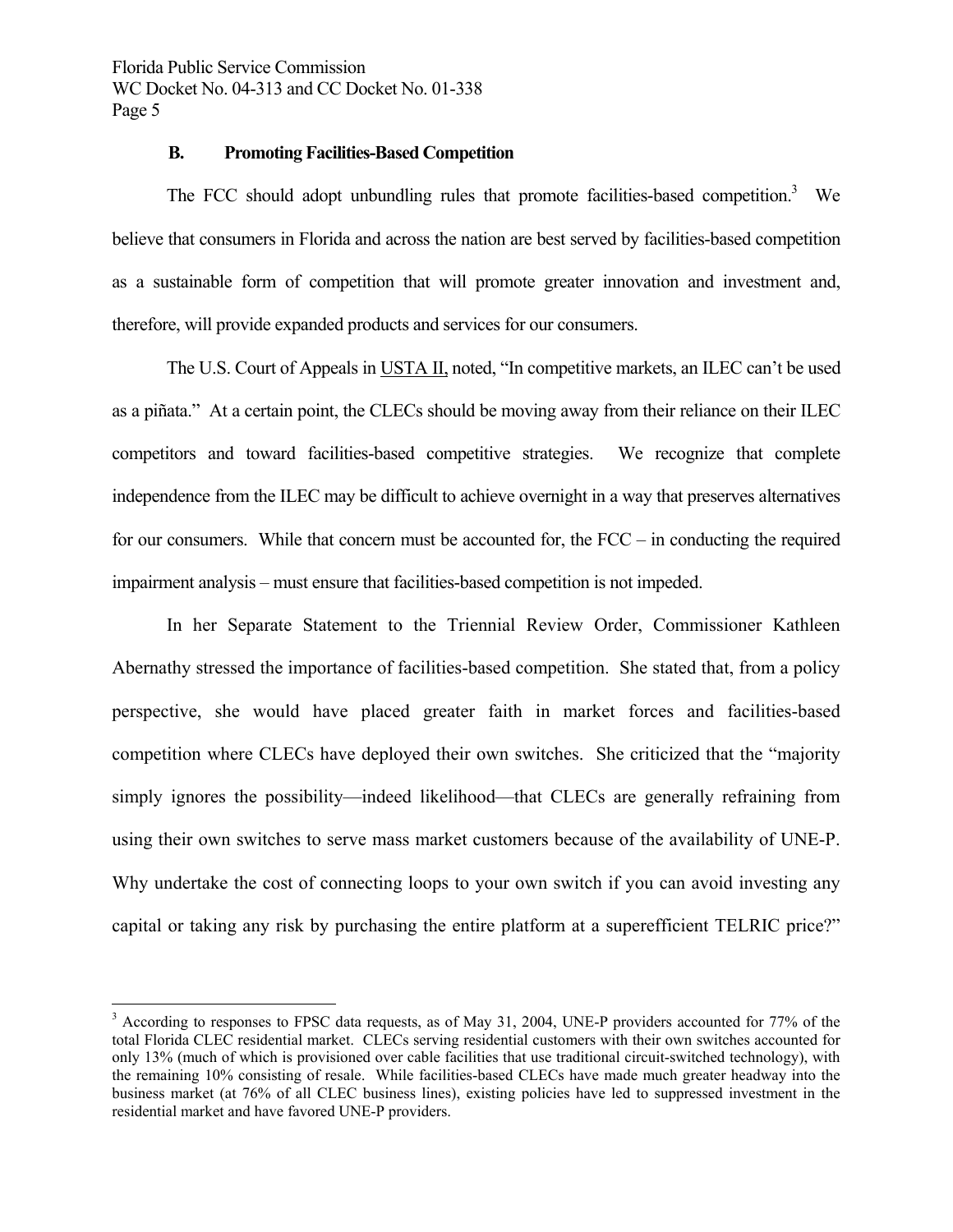$\overline{a}$ 

#### **B. Promoting Facilities-Based Competition**

The FCC should adopt unbundling rules that promote facilities-based competition.<sup>3</sup> We believe that consumers in Florida and across the nation are best served by facilities-based competition as a sustainable form of competition that will promote greater innovation and investment and, therefore, will provide expanded products and services for our consumers.

 The U.S. Court of Appeals in USTA II, noted, "In competitive markets, an ILEC can't be used as a piñata." At a certain point, the CLECs should be moving away from their reliance on their ILEC competitors and toward facilities-based competitive strategies. We recognize that complete independence from the ILEC may be difficult to achieve overnight in a way that preserves alternatives for our consumers. While that concern must be accounted for, the FCC – in conducting the required impairment analysis – must ensure that facilities-based competition is not impeded.

 In her Separate Statement to the Triennial Review Order, Commissioner Kathleen Abernathy stressed the importance of facilities-based competition. She stated that, from a policy perspective, she would have placed greater faith in market forces and facilities-based competition where CLECs have deployed their own switches. She criticized that the "majority simply ignores the possibility—indeed likelihood—that CLECs are generally refraining from using their own switches to serve mass market customers because of the availability of UNE-P. Why undertake the cost of connecting loops to your own switch if you can avoid investing any capital or taking any risk by purchasing the entire platform at a superefficient TELRIC price?"

<sup>&</sup>lt;sup>3</sup> According to responses to FPSC data requests, as of May 31, 2004, UNE-P providers accounted for 77% of the total Florida CLEC residential market. CLECs serving residential customers with their own switches accounted for only 13% (much of which is provisioned over cable facilities that use traditional circuit-switched technology), with the remaining 10% consisting of resale. While facilities-based CLECs have made much greater headway into the business market (at 76% of all CLEC business lines), existing policies have led to suppressed investment in the residential market and have favored UNE-P providers.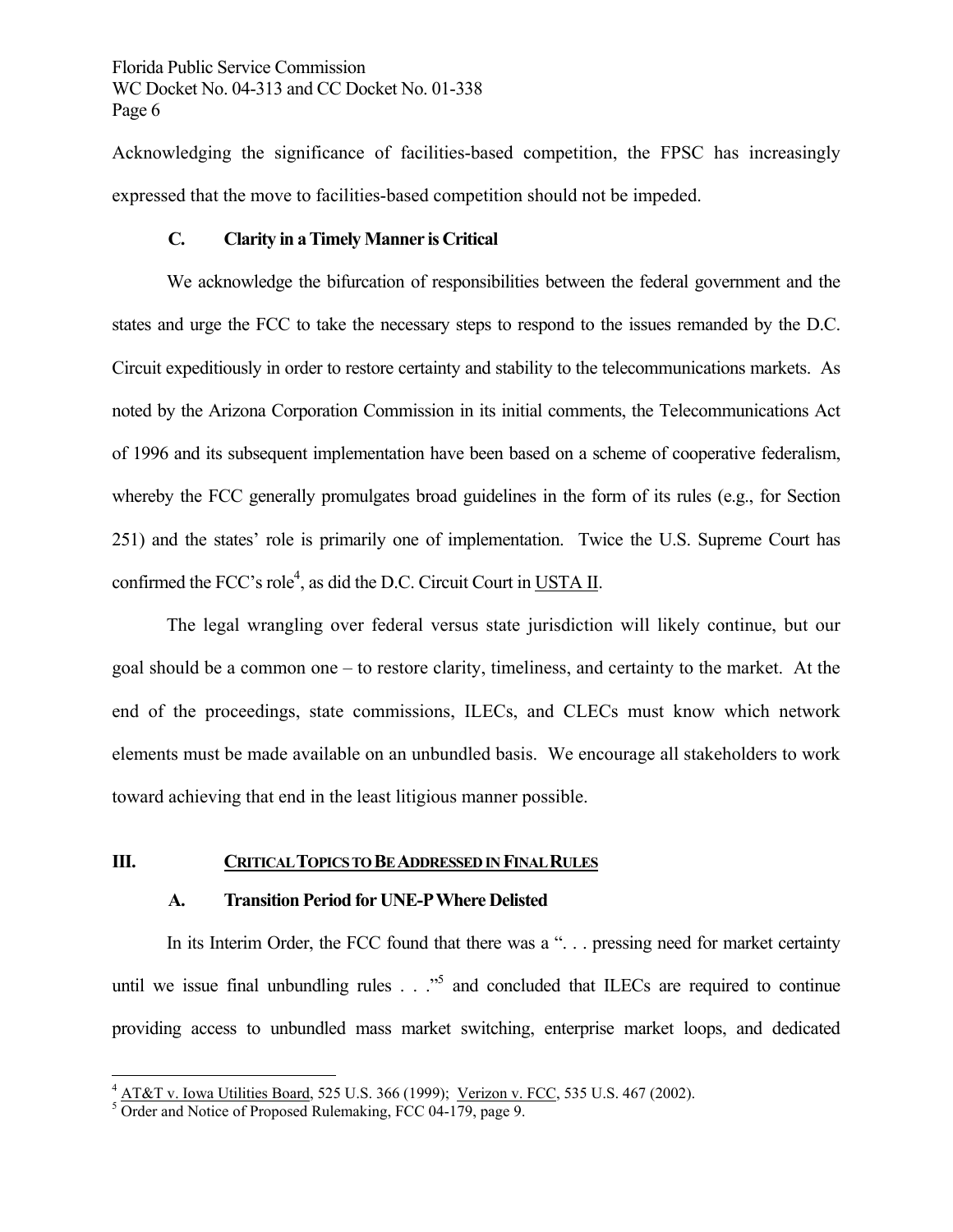Acknowledging the significance of facilities-based competition, the FPSC has increasingly expressed that the move to facilities-based competition should not be impeded.

#### **C. Clarity in a Timely Manner is Critical**

 We acknowledge the bifurcation of responsibilities between the federal government and the states and urge the FCC to take the necessary steps to respond to the issues remanded by the D.C. Circuit expeditiously in order to restore certainty and stability to the telecommunications markets. As noted by the Arizona Corporation Commission in its initial comments, the Telecommunications Act of 1996 and its subsequent implementation have been based on a scheme of cooperative federalism, whereby the FCC generally promulgates broad guidelines in the form of its rules (e.g., for Section 251) and the states' role is primarily one of implementation. Twice the U.S. Supreme Court has confirmed the FCC's role<sup>4</sup>, as did the D.C. Circuit Court in USTA II.

 The legal wrangling over federal versus state jurisdiction will likely continue, but our goal should be a common one – to restore clarity, timeliness, and certainty to the market. At the end of the proceedings, state commissions, ILECs, and CLECs must know which network elements must be made available on an unbundled basis. We encourage all stakeholders to work toward achieving that end in the least litigious manner possible.

#### **III. CRITICAL TOPICS TO BE ADDRESSED IN FINAL RULES**

#### **A. Transition Period for UNE-P Where Delisted**

In its Interim Order, the FCC found that there was a ". . . pressing need for market certainty until we issue final unbundling rules  $\ldots$   $\cdot$ <sup>5</sup> and concluded that ILECs are required to continue providing access to unbundled mass market switching, enterprise market loops, and dedicated

1

 $\frac{4 \text{ ATA}}{2}$  v. Iowa Utilities Board, 525 U.S. 366 (1999); Verizon v. FCC, 535 U.S. 467 (2002).

 $5$  Order and Notice of Proposed Rulemaking, FCC 04-179, page 9.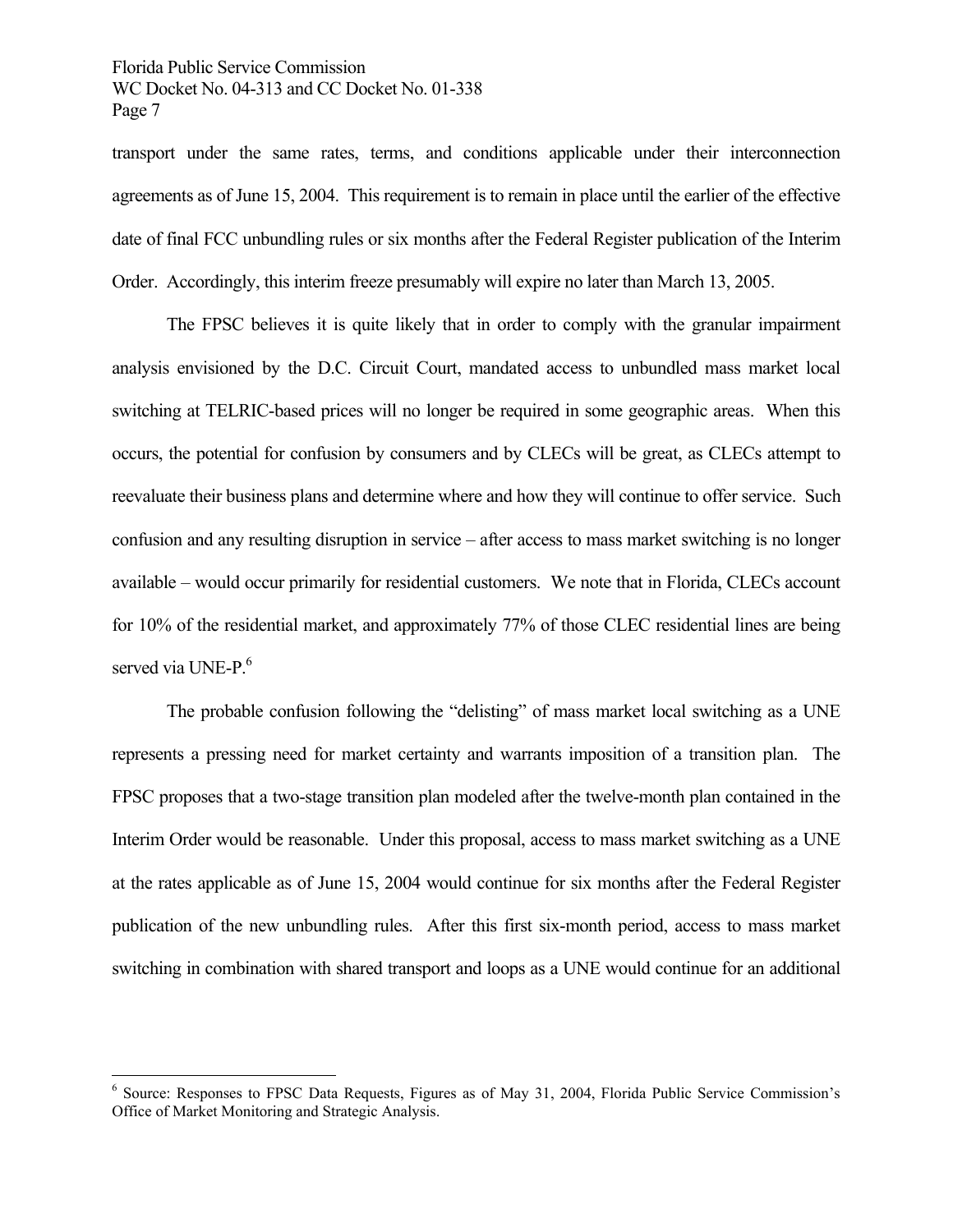transport under the same rates, terms, and conditions applicable under their interconnection agreements as of June 15, 2004. This requirement is to remain in place until the earlier of the effective date of final FCC unbundling rules or six months after the Federal Register publication of the Interim Order. Accordingly, this interim freeze presumably will expire no later than March 13, 2005.

 The FPSC believes it is quite likely that in order to comply with the granular impairment analysis envisioned by the D.C. Circuit Court, mandated access to unbundled mass market local switching at TELRIC-based prices will no longer be required in some geographic areas. When this occurs, the potential for confusion by consumers and by CLECs will be great, as CLECs attempt to reevaluate their business plans and determine where and how they will continue to offer service. Such confusion and any resulting disruption in service – after access to mass market switching is no longer available – would occur primarily for residential customers. We note that in Florida, CLECs account for 10% of the residential market, and approximately 77% of those CLEC residential lines are being served via UNE-P.<sup>6</sup>

 The probable confusion following the "delisting" of mass market local switching as a UNE represents a pressing need for market certainty and warrants imposition of a transition plan. The FPSC proposes that a two-stage transition plan modeled after the twelve-month plan contained in the Interim Order would be reasonable. Under this proposal, access to mass market switching as a UNE at the rates applicable as of June 15, 2004 would continue for six months after the Federal Register publication of the new unbundling rules. After this first six-month period, access to mass market switching in combination with shared transport and loops as a UNE would continue for an additional

 $\overline{a}$ 

<sup>&</sup>lt;sup>6</sup> Source: Responses to FPSC Data Requests, Figures as of May 31, 2004, Florida Public Service Commission's Office of Market Monitoring and Strategic Analysis.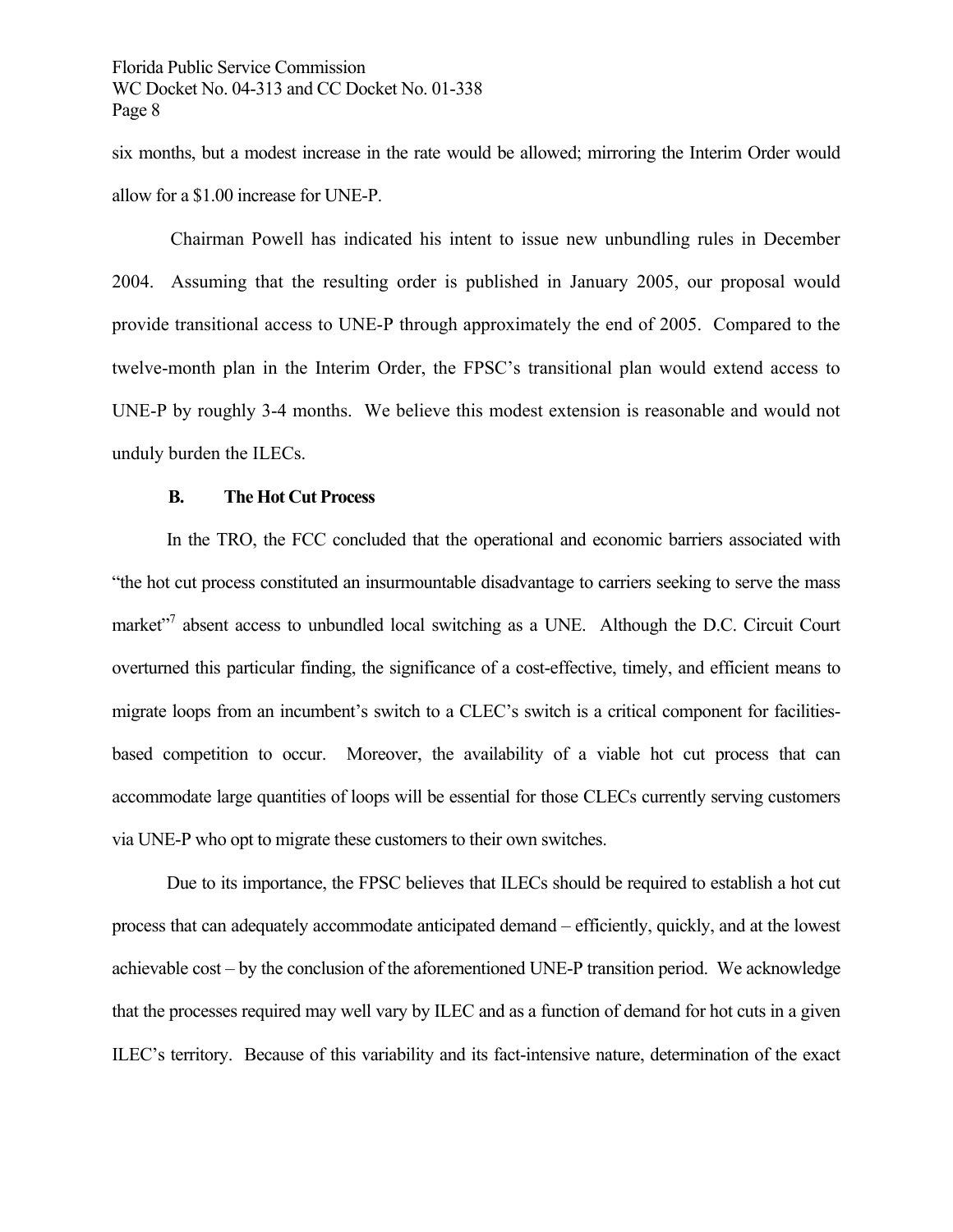six months, but a modest increase in the rate would be allowed; mirroring the Interim Order would allow for a \$1.00 increase for UNE-P.

 Chairman Powell has indicated his intent to issue new unbundling rules in December 2004. Assuming that the resulting order is published in January 2005, our proposal would provide transitional access to UNE-P through approximately the end of 2005. Compared to the twelve-month plan in the Interim Order, the FPSC's transitional plan would extend access to UNE-P by roughly 3-4 months. We believe this modest extension is reasonable and would not unduly burden the ILECs.

#### **B. The Hot Cut Process**

 In the TRO, the FCC concluded that the operational and economic barriers associated with "the hot cut process constituted an insurmountable disadvantage to carriers seeking to serve the mass market"<sup>7</sup> absent access to unbundled local switching as a UNE. Although the D.C. Circuit Court overturned this particular finding, the significance of a cost-effective, timely, and efficient means to migrate loops from an incumbent's switch to a CLEC's switch is a critical component for facilitiesbased competition to occur. Moreover, the availability of a viable hot cut process that can accommodate large quantities of loops will be essential for those CLECs currently serving customers via UNE-P who opt to migrate these customers to their own switches.

 Due to its importance, the FPSC believes that ILECs should be required to establish a hot cut process that can adequately accommodate anticipated demand – efficiently, quickly, and at the lowest achievable cost – by the conclusion of the aforementioned UNE-P transition period. We acknowledge that the processes required may well vary by ILEC and as a function of demand for hot cuts in a given ILEC's territory. Because of this variability and its fact-intensive nature, determination of the exact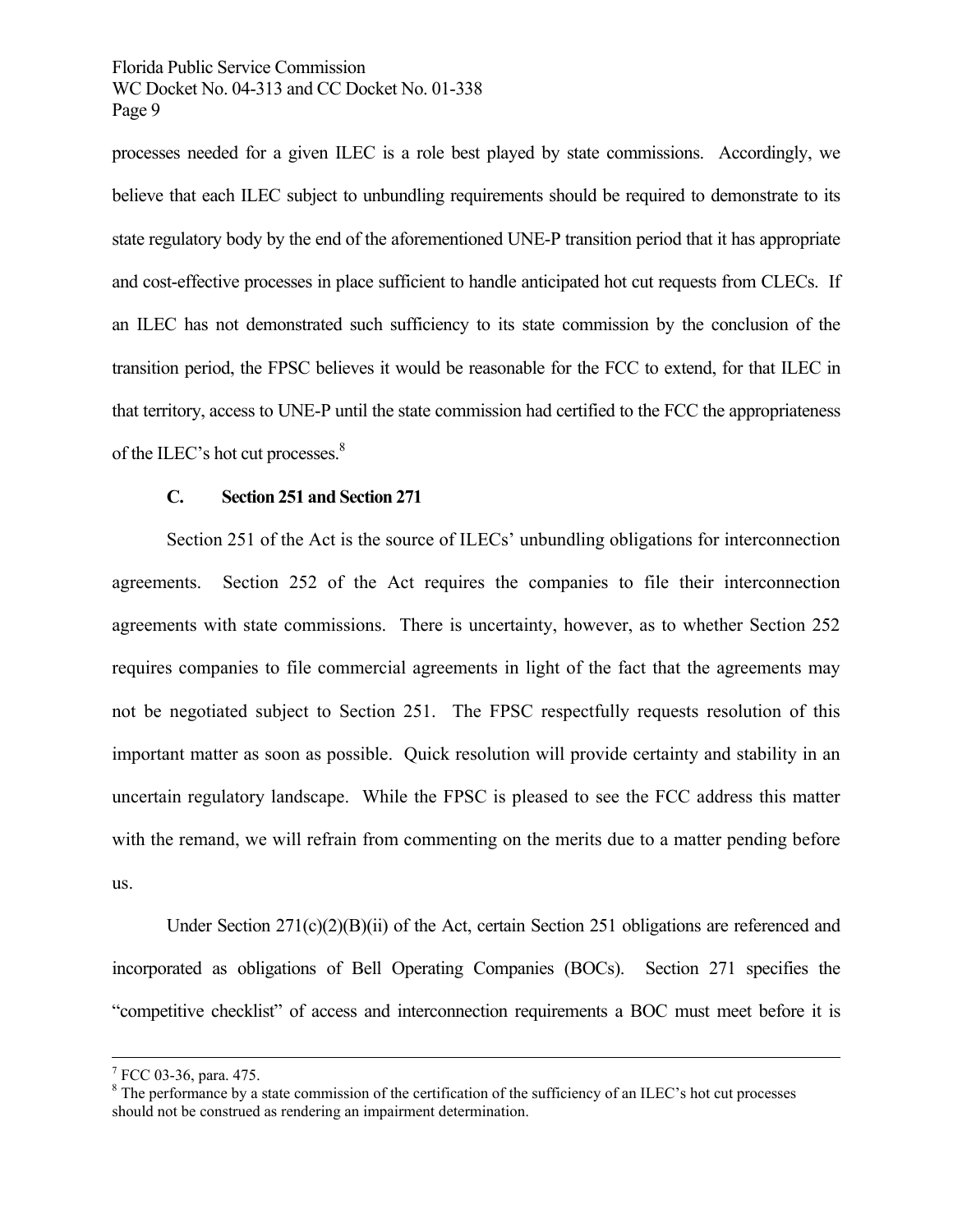processes needed for a given ILEC is a role best played by state commissions. Accordingly, we believe that each ILEC subject to unbundling requirements should be required to demonstrate to its state regulatory body by the end of the aforementioned UNE-P transition period that it has appropriate and cost-effective processes in place sufficient to handle anticipated hot cut requests from CLECs. If an ILEC has not demonstrated such sufficiency to its state commission by the conclusion of the transition period, the FPSC believes it would be reasonable for the FCC to extend, for that ILEC in that territory, access to UNE-P until the state commission had certified to the FCC the appropriateness of the ILEC's hot cut processes.<sup>8</sup>

#### **C. Section 251 and Section 271**

 Section 251 of the Act is the source of ILECs' unbundling obligations for interconnection agreements. Section 252 of the Act requires the companies to file their interconnection agreements with state commissions. There is uncertainty, however, as to whether Section 252 requires companies to file commercial agreements in light of the fact that the agreements may not be negotiated subject to Section 251. The FPSC respectfully requests resolution of this important matter as soon as possible. Quick resolution will provide certainty and stability in an uncertain regulatory landscape. While the FPSC is pleased to see the FCC address this matter with the remand, we will refrain from commenting on the merits due to a matter pending before us.

 Under Section 271(c)(2)(B)(ii) of the Act, certain Section 251 obligations are referenced and incorporated as obligations of Bell Operating Companies (BOCs). Section 271 specifies the "competitive checklist" of access and interconnection requirements a BOC must meet before it is

<sup>-&</sup>lt;br>7  $7$  FCC 03-36, para. 475.

 $8$  The performance by a state commission of the certification of the sufficiency of an ILEC's hot cut processes should not be construed as rendering an impairment determination.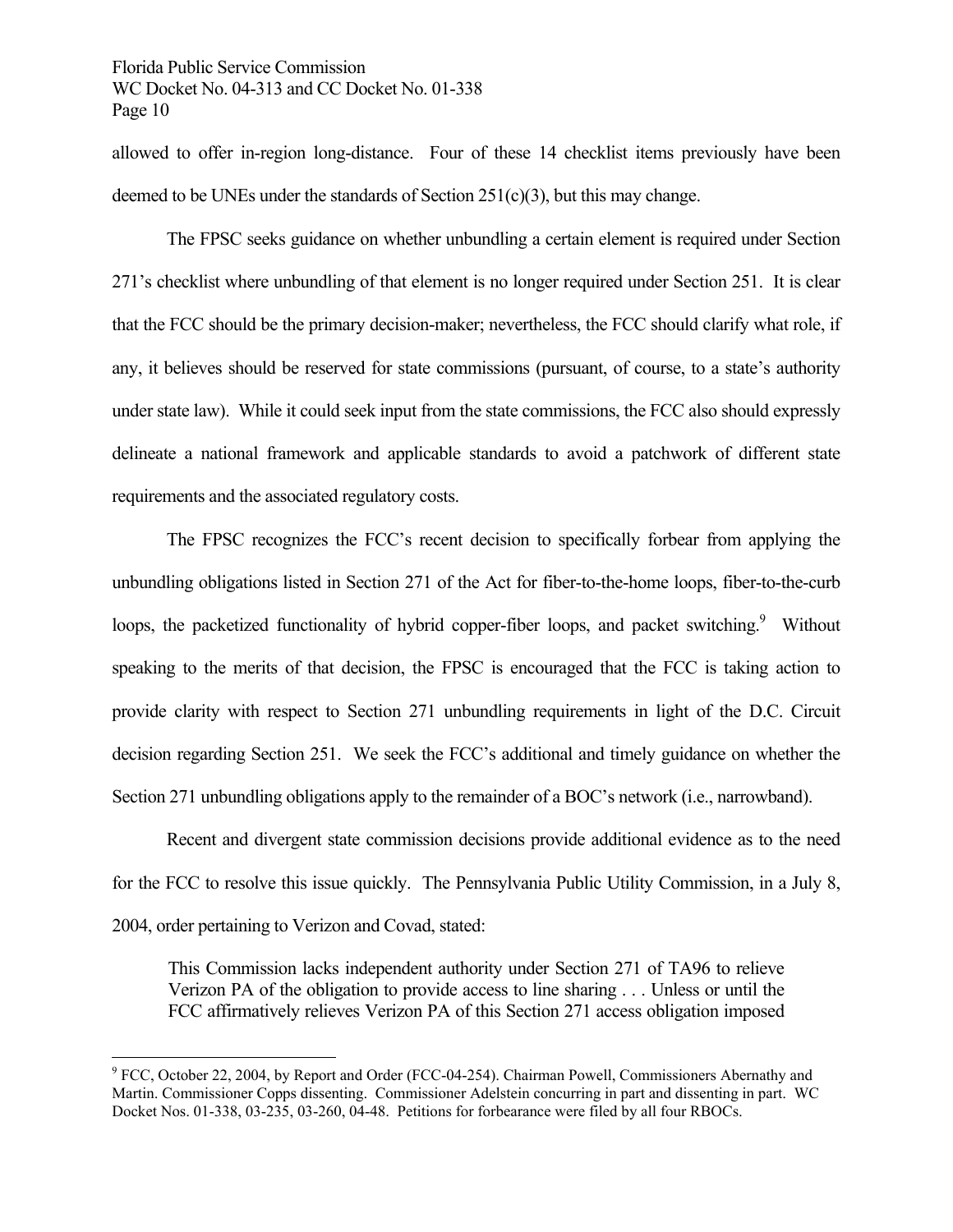allowed to offer in-region long-distance. Four of these 14 checklist items previously have been deemed to be UNEs under the standards of Section 251(c)(3), but this may change.

 The FPSC seeks guidance on whether unbundling a certain element is required under Section 271's checklist where unbundling of that element is no longer required under Section 251. It is clear that the FCC should be the primary decision-maker; nevertheless, the FCC should clarify what role, if any, it believes should be reserved for state commissions (pursuant, of course, to a state's authority under state law). While it could seek input from the state commissions, the FCC also should expressly delineate a national framework and applicable standards to avoid a patchwork of different state requirements and the associated regulatory costs.

 The FPSC recognizes the FCC's recent decision to specifically forbear from applying the unbundling obligations listed in Section 271 of the Act for fiber-to-the-home loops, fiber-to-the-curb loops, the packetized functionality of hybrid copper-fiber loops, and packet switching.<sup>9</sup> Without speaking to the merits of that decision, the FPSC is encouraged that the FCC is taking action to provide clarity with respect to Section 271 unbundling requirements in light of the D.C. Circuit decision regarding Section 251. We seek the FCC's additional and timely guidance on whether the Section 271 unbundling obligations apply to the remainder of a BOC's network (i.e., narrowband).

 Recent and divergent state commission decisions provide additional evidence as to the need for the FCC to resolve this issue quickly. The Pennsylvania Public Utility Commission, in a July 8, 2004, order pertaining to Verizon and Covad, stated:

This Commission lacks independent authority under Section 271 of TA96 to relieve Verizon PA of the obligation to provide access to line sharing . . . Unless or until the FCC affirmatively relieves Verizon PA of this Section 271 access obligation imposed

1

<sup>&</sup>lt;sup>9</sup> FCC, October 22, 2004, by Report and Order (FCC-04-254). Chairman Powell, Commissioners Abernathy and Martin. Commissioner Copps dissenting. Commissioner Adelstein concurring in part and dissenting in part. WC Docket Nos. 01-338, 03-235, 03-260, 04-48. Petitions for forbearance were filed by all four RBOCs.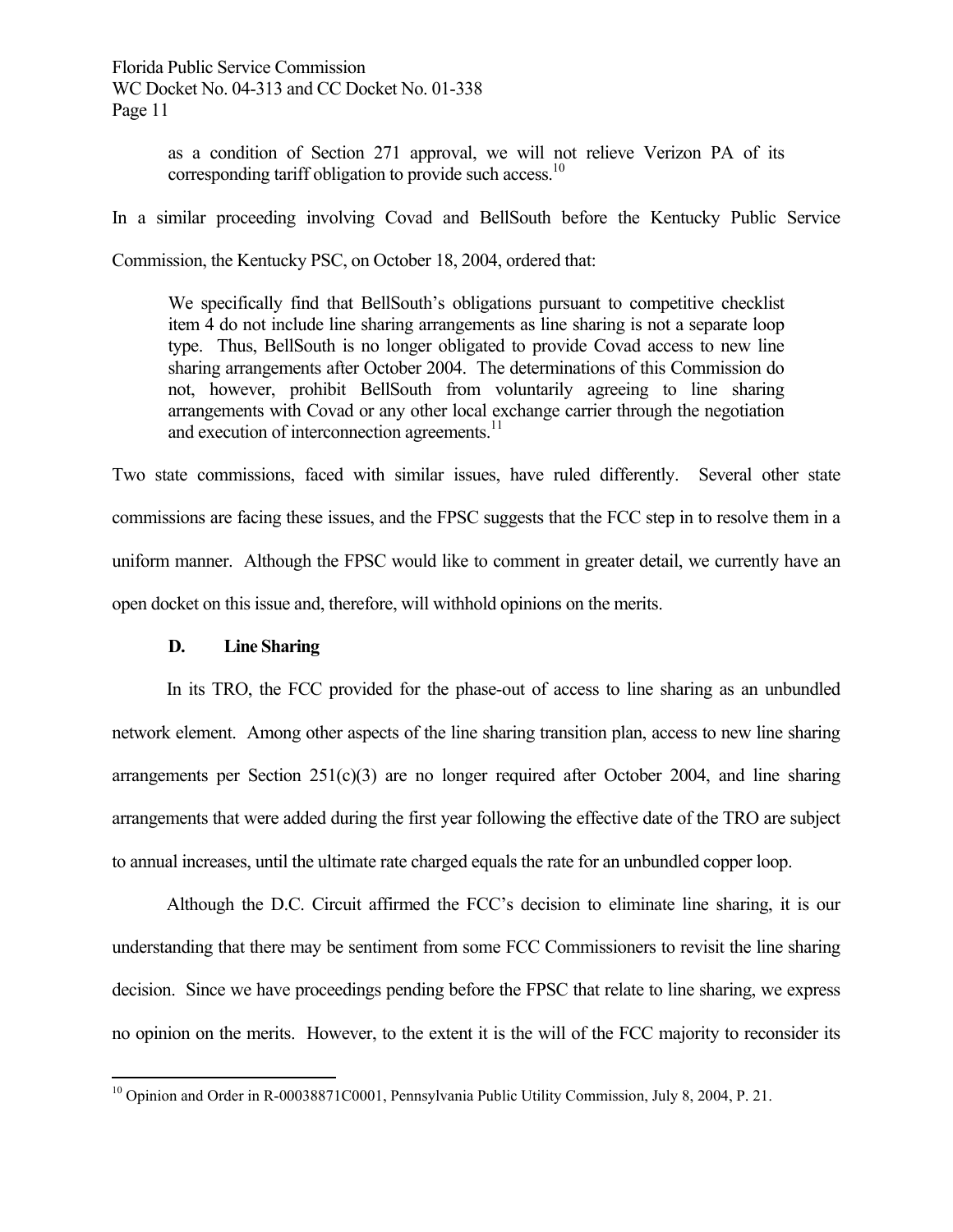> as a condition of Section 271 approval, we will not relieve Verizon PA of its corresponding tariff obligation to provide such access.<sup>10</sup>

In a similar proceeding involving Covad and BellSouth before the Kentucky Public Service

Commission, the Kentucky PSC, on October 18, 2004, ordered that:

We specifically find that BellSouth's obligations pursuant to competitive checklist item 4 do not include line sharing arrangements as line sharing is not a separate loop type. Thus, BellSouth is no longer obligated to provide Covad access to new line sharing arrangements after October 2004. The determinations of this Commission do not, however, prohibit BellSouth from voluntarily agreeing to line sharing arrangements with Covad or any other local exchange carrier through the negotiation and execution of interconnection agreements.<sup>11</sup>

Two state commissions, faced with similar issues, have ruled differently. Several other state commissions are facing these issues, and the FPSC suggests that the FCC step in to resolve them in a uniform manner. Although the FPSC would like to comment in greater detail, we currently have an open docket on this issue and, therefore, will withhold opinions on the merits.

#### **D. Line Sharing**

 In its TRO, the FCC provided for the phase-out of access to line sharing as an unbundled network element. Among other aspects of the line sharing transition plan, access to new line sharing arrangements per Section  $251(c)(3)$  are no longer required after October 2004, and line sharing arrangements that were added during the first year following the effective date of the TRO are subject to annual increases, until the ultimate rate charged equals the rate for an unbundled copper loop.

 Although the D.C. Circuit affirmed the FCC's decision to eliminate line sharing, it is our understanding that there may be sentiment from some FCC Commissioners to revisit the line sharing decision. Since we have proceedings pending before the FPSC that relate to line sharing, we express no opinion on the merits. However, to the extent it is the will of the FCC majority to reconsider its

 $\overline{a}$ <sup>10</sup> Opinion and Order in R-00038871C0001, Pennsylvania Public Utility Commission, July 8, 2004, P. 21.